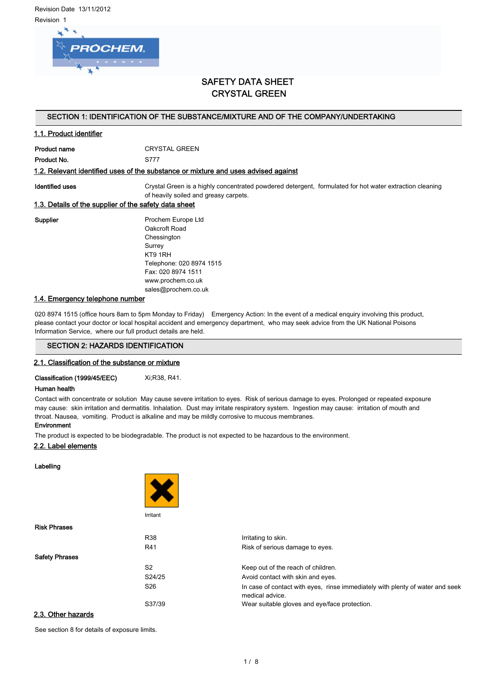Revision Date 13/11/2012 Revision 1



# SAFETY DATA SHEET CRYSTAL GREEN

# SECTION 1: IDENTIFICATION OF THE SUBSTANCE/MIXTURE AND OF THE COMPANY/UNDERTAKING

# 1.1. Product identifier

Product name CRYSTAL GREEN Product No. 6777

#### 1.2. Relevant identified uses of the substance or mixture and uses advised against

Identified uses **Crystal Green is a highly concentrated powdered detergent**, formulated for hot water extraction cleaning of heavily soiled and greasy carpets.

# 1.3. Details of the supplier of the safety data sheet

Supplier **Prochem Europe Ltd** Oakcroft Road **Chessington** Surrey KT9 1RH Telephone: 020 8974 1515 Fax: 020 8974 1511 www.prochem.co.uk sales@prochem.co.uk

# 1.4. Emergency telephone number

020 8974 1515 (office hours 8am to 5pm Monday to Friday) Emergency Action: In the event of a medical enquiry involving this product, please contact your doctor or local hospital accident and emergency department, who may seek advice from the UK National Poisons Information Service, where our full product details are held.

# SECTION 2: HAZARDS IDENTIFICATION

#### 2.1. Classification of the substance or mixture

Classification (1999/45/EEC) Xi;R38, R41.

## Human health

**Service Control** 

Contact with concentrate or solution May cause severe irritation to eyes. Risk of serious damage to eyes. Prolonged or repeated exposure may cause: skin irritation and dermatitis. Inhalation. Dust may irritate respiratory system. Ingestion may cause: irritation of mouth and throat. Nausea, vomiting. Product is alkaline and may be mildly corrosive to mucous membranes.

## **Environment**

The product is expected to be biodegradable. The product is not expected to be hazardous to the environment.

# 2.2. Label elements

Labelling

|                       | Irritant        |                                                                                                  |
|-----------------------|-----------------|--------------------------------------------------------------------------------------------------|
| <b>Risk Phrases</b>   |                 |                                                                                                  |
|                       | <b>R38</b>      | Irritating to skin.                                                                              |
|                       | R41             | Risk of serious damage to eyes.                                                                  |
| <b>Safety Phrases</b> |                 |                                                                                                  |
|                       | S <sub>2</sub>  | Keep out of the reach of children.                                                               |
|                       | S24/25          | Avoid contact with skin and eyes.                                                                |
|                       | S <sub>26</sub> | In case of contact with eyes, rinse immediately with plenty of water and seek<br>medical advice. |
|                       | S37/39          | Wear suitable gloves and eye/face protection.                                                    |
| 2.3. Other hazards    |                 |                                                                                                  |

See section 8 for details of exposure limits.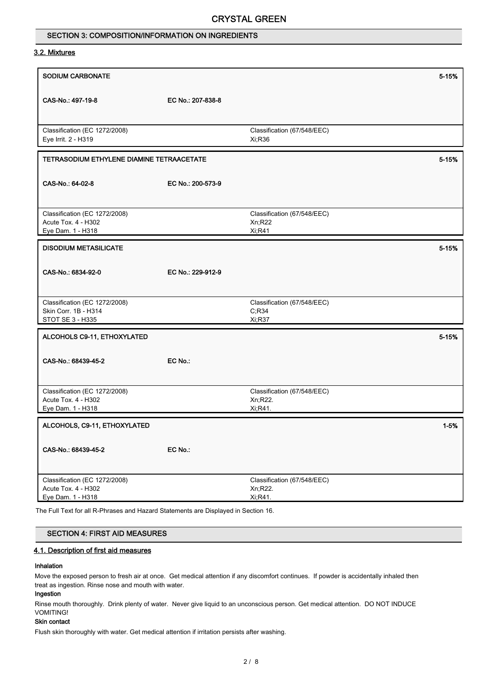# SECTION 3: COMPOSITION/INFORMATION ON INGREDIENTS

## 3.2. Mixtures

| <b>SODIUM CARBONATE</b>                   |                   |                             | 5-15%    |
|-------------------------------------------|-------------------|-----------------------------|----------|
|                                           |                   |                             |          |
| CAS-No.: 497-19-8                         | EC No.: 207-838-8 |                             |          |
|                                           |                   |                             |          |
|                                           |                   |                             |          |
| Classification (EC 1272/2008)             |                   | Classification (67/548/EEC) |          |
| Eye Irrit. 2 - H319                       |                   | Xi;R36                      |          |
| TETRASODIUM ETHYLENE DIAMINE TETRAACETATE |                   |                             |          |
|                                           |                   |                             | 5-15%    |
|                                           |                   |                             |          |
| CAS-No.: 64-02-8                          | EC No.: 200-573-9 |                             |          |
|                                           |                   |                             |          |
| Classification (EC 1272/2008)             |                   | Classification (67/548/EEC) |          |
| Acute Tox. 4 - H302                       |                   | Xn;R22                      |          |
| Eye Dam. 1 - H318                         |                   | <b>Xi,R41</b>               |          |
| <b>DISODIUM METASILICATE</b>              |                   |                             | 5-15%    |
|                                           |                   |                             |          |
|                                           |                   |                             |          |
| CAS-No.: 6834-92-0                        | EC No.: 229-912-9 |                             |          |
|                                           |                   |                             |          |
| Classification (EC 1272/2008)             |                   | Classification (67/548/EEC) |          |
| Skin Corr. 1B - H314                      |                   | C, R34                      |          |
| STOT SE 3 - H335                          |                   | Xi;R37                      |          |
|                                           |                   |                             |          |
| ALCOHOLS C9-11, ETHOXYLATED               |                   |                             | 5-15%    |
|                                           |                   |                             |          |
| CAS-No.: 68439-45-2                       | EC No.:           |                             |          |
|                                           |                   |                             |          |
| Classification (EC 1272/2008)             |                   | Classification (67/548/EEC) |          |
| Acute Tox. 4 - H302                       |                   | Xn;R22.                     |          |
| Eye Dam. 1 - H318                         |                   | Xi, R41.                    |          |
|                                           |                   |                             |          |
| ALCOHOLS, C9-11, ETHOXYLATED              |                   |                             | $1 - 5%$ |
|                                           |                   |                             |          |
| CAS-No.: 68439-45-2                       | EC No.:           |                             |          |
|                                           |                   |                             |          |
| Classification (EC 1272/2008)             |                   | Classification (67/548/EEC) |          |
| Acute Tox. 4 - H302                       |                   | Xn;R22.                     |          |
| Eye Dam. 1 - H318                         |                   | Xi, R41.                    |          |
|                                           |                   |                             |          |

The Full Text for all R-Phrases and Hazard Statements are Displayed in Section 16.

# SECTION 4: FIRST AID MEASURES

# 4.1. Description of first aid measures

#### Inhalation

Move the exposed person to fresh air at once. Get medical attention if any discomfort continues. If powder is accidentally inhaled then treat as ingestion. Rinse nose and mouth with water.

# Ingestion

Rinse mouth thoroughly. Drink plenty of water. Never give liquid to an unconscious person. Get medical attention. DO NOT INDUCE VOMITING!

# Skin contact

Flush skin thoroughly with water. Get medical attention if irritation persists after washing.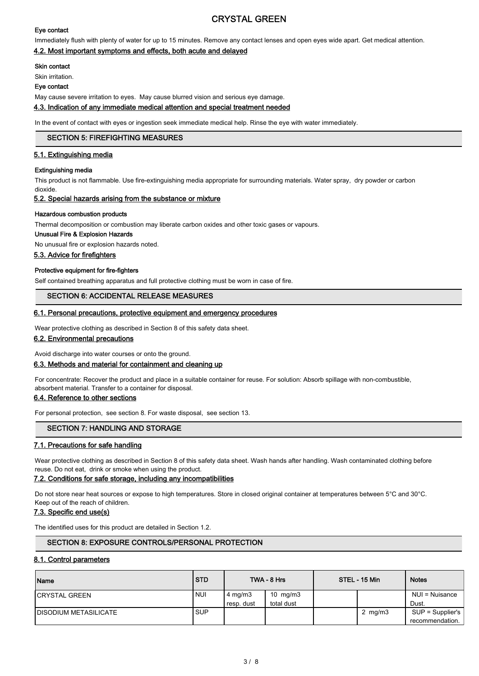## Eye contact

Immediately flush with plenty of water for up to 15 minutes. Remove any contact lenses and open eyes wide apart. Get medical attention.

# 4.2. Most important symptoms and effects, both acute and delayed

## Skin contact

Skin irritation.

#### Eye contact

May cause severe irritation to eyes. May cause blurred vision and serious eye damage.

4.3. Indication of any immediate medical attention and special treatment needed

In the event of contact with eyes or ingestion seek immediate medical help. Rinse the eye with water immediately.

#### SECTION 5: FIREFIGHTING MEASURES

#### 5.1. Extinguishing media

#### Extinguishing media

This product is not flammable. Use fire-extinguishing media appropriate for surrounding materials. Water spray, dry powder or carbon dioxide.

#### 5.2. Special hazards arising from the substance or mixture

#### Hazardous combustion products

Thermal decomposition or combustion may liberate carbon oxides and other toxic gases or vapours.

#### Unusual Fire & Explosion Hazards

No unusual fire or explosion hazards noted.

#### 5.3. Advice for firefighters

#### Protective equipment for fire-fighters

Self contained breathing apparatus and full protective clothing must be worn in case of fire.

# SECTION 6: ACCIDENTAL RELEASE MEASURES

#### 6.1. Personal precautions, protective equipment and emergency procedures

Wear protective clothing as described in Section 8 of this safety data sheet.

# 6.2. Environmental precautions

Avoid discharge into water courses or onto the ground.

## 6.3. Methods and material for containment and cleaning up

For concentrate: Recover the product and place in a suitable container for reuse. For solution: Absorb spillage with non-combustible, absorbent material. Transfer to a container for disposal.

## 6.4. Reference to other sections

For personal protection, see section 8. For waste disposal, see section 13.

# SECTION 7: HANDLING AND STORAGE

#### 7.1. Precautions for safe handling

Wear protective clothing as described in Section 8 of this safety data sheet. Wash hands after handling. Wash contaminated clothing before reuse. Do not eat, drink or smoke when using the product.

#### 7.2. Conditions for safe storage, including any incompatibilities

Do not store near heat sources or expose to high temperatures. Store in closed original container at temperatures between 5°C and 30°C. Keep out of the reach of children.

# 7.3. Specific end use(s)

The identified uses for this product are detailed in Section 1.2.

# SECTION 8: EXPOSURE CONTROLS/PERSONAL PROTECTION

# 8.1. Control parameters

| Name                          | <b>STD</b> |                   | TWA - 8 Hrs | STEL - 15 Min | <b>Notes</b>       |
|-------------------------------|------------|-------------------|-------------|---------------|--------------------|
| <b>ICRYSTAL GREEN</b>         | <b>NUI</b> | $4 \text{ mg/m3}$ | 10 $mg/m3$  |               | NUI = Nuisance     |
|                               |            | resp. dust        | total dust  |               | Dust.              |
| <b>IDISODIUM METASILICATE</b> | <b>SUP</b> |                   |             | 2 $mg/m3$     | $SUP = Supplier's$ |
|                               |            |                   |             |               | recommendation.    |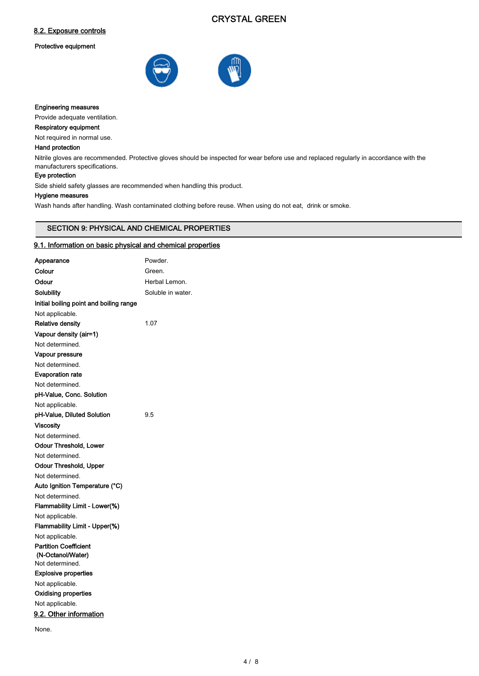# 8.2. Exposure controls

# Protective equipment





# Engineering measures

Provide adequate ventilation.

# Respiratory equipment

Not required in normal use.

#### Hand protection

Nitrile gloves are recommended. Protective gloves should be inspected for wear before use and replaced regularly in accordance with the manufacturers specifications.

# Eye protection

Side shield safety glasses are recommended when handling this product.

# Hygiene measures

Wash hands after handling. Wash contaminated clothing before reuse. When using do not eat, drink or smoke.

# SECTION 9: PHYSICAL AND CHEMICAL PROPERTIES

#### 9.1. Information on basic physical and chemical properties

| Appearance                              | Powder.           |
|-----------------------------------------|-------------------|
| Colour                                  | Green.            |
| Odour                                   | Herbal Lemon.     |
| Solubility                              | Soluble in water. |
| Initial boiling point and boiling range |                   |
| Not applicable.                         |                   |
| <b>Relative density</b>                 | 1.07              |
| Vapour density (air=1)                  |                   |
| Not determined.                         |                   |
| Vapour pressure                         |                   |
| Not determined.                         |                   |
| <b>Evaporation rate</b>                 |                   |
| Not determined.                         |                   |
| pH-Value, Conc. Solution                |                   |
| Not applicable.                         |                   |
| pH-Value, Diluted Solution              | 9.5               |
| <b>Viscosity</b>                        |                   |
| Not determined.                         |                   |
| <b>Odour Threshold, Lower</b>           |                   |
| Not determined.                         |                   |
| Odour Threshold, Upper                  |                   |
| Not determined.                         |                   |
| Auto Ignition Temperature (°C)          |                   |
| Not determined.                         |                   |
| Flammability Limit - Lower(%)           |                   |
| Not applicable.                         |                   |
| Flammability Limit - Upper(%)           |                   |
| Not applicable.                         |                   |
| <b>Partition Coefficient</b>            |                   |
| (N-Octanol/Water)                       |                   |
| Not determined.                         |                   |
| <b>Explosive properties</b>             |                   |
| Not applicable.                         |                   |
| <b>Oxidising properties</b>             |                   |
| Not applicable.                         |                   |
| 9.2. Other information                  |                   |
|                                         |                   |

None.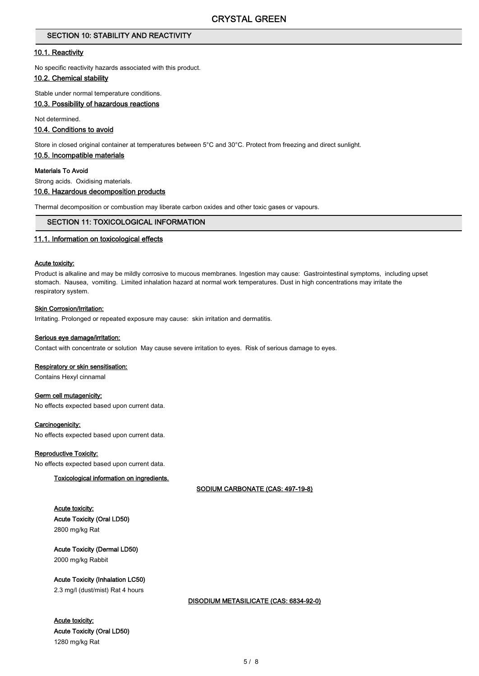# SECTION 10: STABILITY AND REACTIVITY

#### 10.1. Reactivity

No specific reactivity hazards associated with this product.

# 10.2. Chemical stability

Stable under normal temperature conditions.

# 10.3. Possibility of hazardous reactions

Not determined.

# 10.4. Conditions to avoid

Store in closed original container at temperatures between 5°C and 30°C. Protect from freezing and direct sunlight.

#### 10.5. Incompatible materials

#### Materials To Avoid

Strong acids. Oxidising materials.

#### 10.6. Hazardous decomposition products

Thermal decomposition or combustion may liberate carbon oxides and other toxic gases or vapours.

# SECTION 11: TOXICOLOGICAL INFORMATION

#### 11.1. Information on toxicological effects

#### Acute toxicity:

Product is alkaline and may be mildly corrosive to mucous membranes. Ingestion may cause: Gastrointestinal symptoms, including upset stomach. Nausea, vomiting. Limited inhalation hazard at normal work temperatures. Dust in high concentrations may irritate the respiratory system.

#### Skin Corrosion/Irritation:

Irritating. Prolonged or repeated exposure may cause: skin irritation and dermatitis.

#### Serious eye damage/irritation:

Contact with concentrate or solution May cause severe irritation to eyes. Risk of serious damage to eyes.

#### Respiratory or skin sensitisation:

Contains Hexyl cinnamal

#### Germ cell mutagenicity:

No effects expected based upon current data.

#### Carcinogenicity:

No effects expected based upon current data.

#### Reproductive Toxicity:

No effects expected based upon current data.

## Toxicological information on ingredients.

SODIUM CARBONATE (CAS: 497-19-8)

# Acute toxicity: Acute Toxicity (Oral LD50) 2800 mg/kg Rat

# Acute Toxicity (Dermal LD50)

2000 mg/kg Rabbit

# Acute Toxicity (Inhalation LC50)

2.3 mg/l (dust/mist) Rat 4 hours

# DISODIUM METASILICATE (CAS: 6834-92-0)

# Acute toxicity: Acute Toxicity (Oral LD50)

1280 mg/kg Rat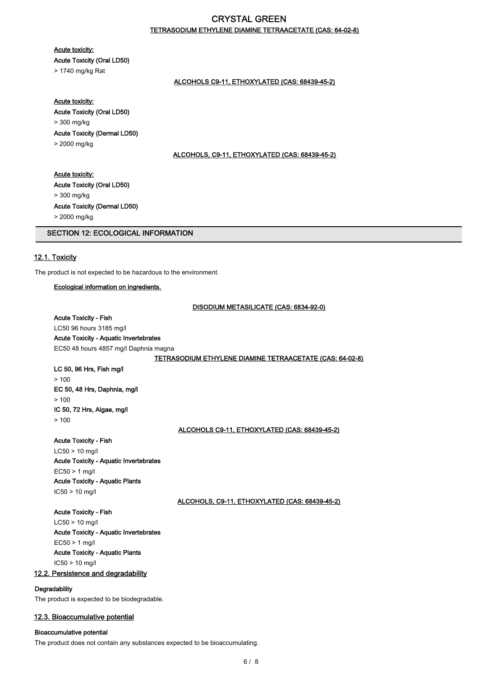# TETRASODIUM ETHYLENE DIAMINE TETRAACETATE (CAS: 64-02-8)

## Acute toxicity:

Acute Toxicity (Oral LD50)

> 1740 mg/kg Rat

# ALCOHOLS C9-11, ETHOXYLATED (CAS: 68439-45-2)

#### Acute toxicity:

Acute Toxicity (Oral LD50) > 300 mg/kg Acute Toxicity (Dermal LD50)

> 2000 mg/kg

#### ALCOHOLS, C9-11, ETHOXYLATED (CAS: 68439-45-2)

# Acute toxicity:

Acute Toxicity (Oral LD50) > 300 mg/kg Acute Toxicity (Dermal LD50) > 2000 mg/kg

# SECTION 12: ECOLOGICAL INFORMATION

# 12.1. Toxicity

The product is not expected to be hazardous to the environment.

# Ecological information on ingredients.

DISODIUM METASILICATE (CAS: 6834-92-0)

#### Acute Toxicity - Fish

LC50 96 hours 3185 mg/l

# Acute Toxicity - Aquatic Invertebrates

EC50 48 hours 4857 mg/l Daphnia magna

#### TETRASODIUM ETHYLENE DIAMINE TETRAACETATE (CAS: 64-02-8)

#### LC 50, 96 Hrs, Fish mg/l  $> 100$

EC 50, 48 Hrs, Daphnia, mg/l  $> 100$ IC 50, 72 Hrs, Algae, mg/l  $> 100$ 

#### ALCOHOLS C9-11, ETHOXYLATED (CAS: 68439-45-2)

Acute Toxicity - Fish

LC50 > 10 mg/l Acute Toxicity - Aquatic Invertebrates EC50 > 1 mg/l Acute Toxicity - Aquatic Plants IC50 > 10 mg/l

ALCOHOLS, C9-11, ETHOXYLATED (CAS: 68439-45-2)

Acute Toxicity - Fish LC50 > 10 mg/l Acute Toxicity - Aquatic Invertebrates EC50 > 1 mg/l Acute Toxicity - Aquatic Plants IC50 > 10 mg/l 12.2. Persistence and degradability

# **Degradability**

The product is expected to be biodegradable.

#### 12.3. Bioaccumulative potential

#### Bioaccumulative potential

The product does not contain any substances expected to be bioaccumulating.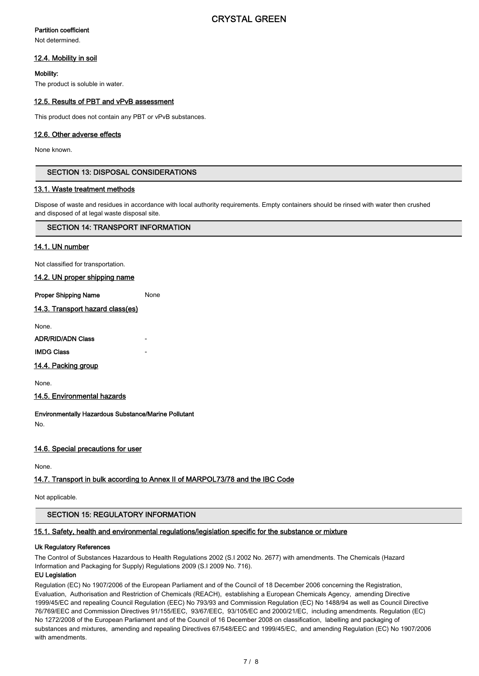## Partition coefficient

Not determined.

# 12.4. Mobility in soil

## Mobility:

The product is soluble in water.

# 12.5. Results of PBT and vPvB assessment

This product does not contain any PBT or vPvB substances.

# 12.6. Other adverse effects

None known.

# SECTION 13: DISPOSAL CONSIDERATIONS

# 13.1. Waste treatment methods

Dispose of waste and residues in accordance with local authority requirements. Empty containers should be rinsed with water then crushed and disposed of at legal waste disposal site.

# SECTION 14: TRANSPORT INFORMATION

# 14.1. UN number

Not classified for transportation.

14.2. UN proper shipping name

**Proper Shipping Name** None

14.3. Transport hazard class(es)

None.

ADR/RID/ADN Class -

# **IMDG Class**

14.4. Packing group

None.

14.5. Environmental hazards

Environmentally Hazardous Substance/Marine Pollutant No.

#### 14.6. Special precautions for user

None.

# 14.7. Transport in bulk according to Annex II of MARPOL73/78 and the IBC Code

Not applicable.

# SECTION 15: REGULATORY INFORMATION

#### 15.1. Safety, health and environmental regulations/legislation specific for the substance or mixture

#### Uk Regulatory References

The Control of Substances Hazardous to Health Regulations 2002 (S.I 2002 No. 2677) with amendments. The Chemicals (Hazard Information and Packaging for Supply) Regulations 2009 (S.I 2009 No. 716).

## EU Legislation

Regulation (EC) No 1907/2006 of the European Parliament and of the Council of 18 December 2006 concerning the Registration, Evaluation, Authorisation and Restriction of Chemicals (REACH), establishing a European Chemicals Agency, amending Directive 1999/45/EC and repealing Council Regulation (EEC) No 793/93 and Commission Regulation (EC) No 1488/94 as well as Council Directive 76/769/EEC and Commission Directives 91/155/EEC, 93/67/EEC, 93/105/EC and 2000/21/EC, including amendments. Regulation (EC) No 1272/2008 of the European Parliament and of the Council of 16 December 2008 on classification, labelling and packaging of substances and mixtures, amending and repealing Directives 67/548/EEC and 1999/45/EC, and amending Regulation (EC) No 1907/2006 with amendments